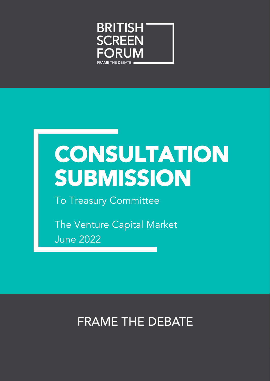

# CONSULTATION SUBMISSION

To Treasury Committee

The Venture Capital Market June 2022

### **FRAME THE DEBATE**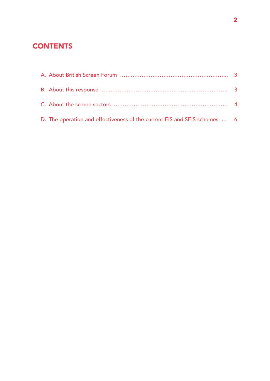### **CONTENTS**

| D. The operation and effectiveness of the current EIS and SEIS schemes  6 |  |
|---------------------------------------------------------------------------|--|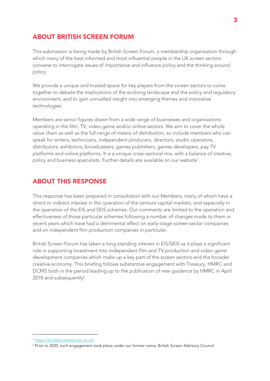#### ABOUT BRITISH SCREEN FORUM

This submission is being made by British Screen Forum, a membership organisation through which many of the best informed and most influential people in the UK screen sectors convene to interrogate issues of importance and influence policy and the thinking around policy.

We provide a unique and trusted space for key players from the screen sectors to come together to debate the implications of the evolving landscape and the policy and regulatory environment, and to gain unrivalled insight into emerging themes and innovative technologies.

Members are senior figures drawn from a wide range of businesses and organisations operating in the film, TV, video game and/or online sectors. We aim to cover the whole value chain as well as the full range of means of distribution, so include members who can speak for writers, technicians, independent producers, directors, studio operators, distributors, exhibitors, broadcasters, games publishers, games developers, pay TV platforms and online platforms. It is a unique cross-sectoral mix, with a balance of creative, policy and business specialists. Further details are available on our website<sup>1</sup>.

#### ABOUT THIS RESPONSE

This response has been prepared in consultation with our Members, many of whom have a direct or indirect interest in the operation of the venture capital markets, and especially in the operation of the EIS and SEIS schemes. Our comments are limited to the operation and effectiveness of those particular schemes following a number of changes made to them in recent years which have had a detrimental effect on early-stage screen sector companies and on independent film production companies in particular.

British Screen Forum has taken a long standing interest in EIS/SEIS as it plays a significant role in supporting investment into independent film and TV production and video game development companies which make up a key part of the screen sectors and the broader creative economy. This briefing follows substantive engagement with Treasury, HMRC and DCMS both in the period leading up to the publication of new guidance by HMRC in April  $2018$  and subsequently<sup>2</sup>.

<sup>1</sup> <https://britishscreenforum.co.uk/>

<sup>2</sup> Prior to 2020, such engagement took place under our former name, British Screen Advisory Council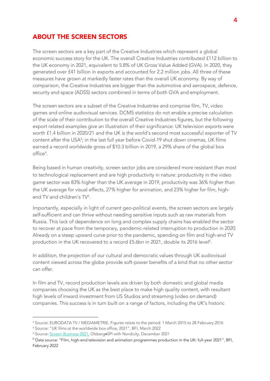#### ABOUT THE SCREEN SECTORS

The screen sectors are a key part of the Creative Industries which represent a global economic success story for the UK. The overall Creative Industries contributed £112 billion to the UK economy in 2021, equivalent to 5.8% of UK Gross Value Added (GVA). In 2020, they generated over £41 billion in exports and accounted for 2.2 million jobs. All three of these measures have grown at markedly faster rates than the overall UK economy. By way of comparison, the Creative Industries are bigger than the automotive and aerospace, defence, security and space (ADSS) sectors combined in terms of both GVA and employment.

The screen sectors are a subset of the Creative Industries and comprise film, TV, video games and online audiovisual services. DCMS statistics do not enable a precise calculation of the scale of their contribution to the overall Creative Industries figures, but the following export related examples give an illustration of their significance: UK television exports were worth £1.4 billion in 2020/21 and the UK is the world's second most successful exporter of TV content after the USA<sup>3</sup>; in the last full year before Covid-19 shut down cinemas, UK films earned a record worldwide gross of \$10.3 billion in 2019, a 29% share of the global box office 4 .

Being based in human creativity, screen sector jobs are considered more resistant than most to technological replacement and are high productivity in nature: productivity in the video game sector was 83% higher than the UK average in 2019, productivity was 36% higher than the UK average for visual effects, 27% higher for animation, and 23% higher for film, highend TV and children's TV<sup>5</sup>.

Importantly, especially in light of current geo-political events, the screen sectors are largely self-sufficient and can thrive without needing sensitive inputs such as raw materials from Russia. This lack of dependence on long and complex supply chains has enabled the sector to recover at pace from the temporary, pandemic-related interruption to production in 2020. Already on a steep upward curve prior to the pandemic, spending on film and high-end TV production in the UK recovered to a record £5.6bn in 2021, double its 2016 level<sup>6</sup>.

In addition, the projection of our cultural and democratic values through UK audiovisual content viewed across the globe provide soft-power benefits of a kind that no other sector can offer.

In film and TV, record production levels are driven by both domestic and global media companies choosing the UK as the best place to make high quality content, with resultant high levels of inward investment from US Studios and streaming (video on demand) companies. This success is in turn built on a range of factors, including the UK's historic

<sup>3</sup> Source: EURODATA TV / MEDIAMETRIE. Figures relate to the period: 1 March 2015 to 28 February 2016

<sup>4</sup> Source: "UK films at the worldwide box office, 2021", BFI, March 2022

<sup>5</sup> Source: [Screen Business 2021,](https://www.bfi.org.uk/industry-data-insights/reports/uk-screen-sector-economy) Olsberg•SPI with Nordicity, December 2021

<sup>6</sup> Data source: "Film, high-end television and animation programmes production in the UK: full-year 2021", BFI, February 2022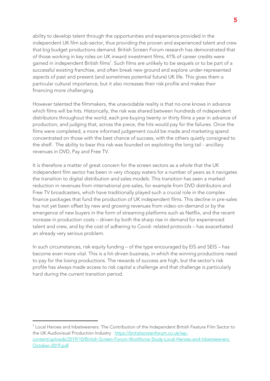ability to develop talent through the opportunities and experience provided in the independent UK film sub-sector, thus providing the proven and experienced talent and crew that big budget productions demand. British Screen Forum research has demonstrated that of those working in key roles on UK inward investment films, 41% of career credits were gained in independent British films<sup>7</sup>. Such films are unlikely to be sequels or to be part of a successful existing franchise, and often break new ground and explore under-represented aspects of past and present (and sometimes potential future) UK life. This gives them a particular cultural importance, but it also increases their risk profile and makes their financing more challenging.

However talented the filmmakers, the unavoidable reality is that no-one knows in advance which films will be hits. Historically, the risk was shared between hundreds of independent distributors throughout the world, each pre-buying twenty or thirty films a year in advance of production, and judging that, across the piece, the hits would pay for the failures. Once the films were completed, a more informed judgement could be made and marketing spend concentrated on those with the best chance of success, with the others quietly consigned to the shelf. The ability to bear this risk was founded on exploiting the long tail - ancillary revenues in DVD, Pay and Free TV.

It is therefore a matter of great concern for the screen sectors as a whole that the UK independent film sector has been in very choppy waters for a number of years as it navigates the transition to digital distribution and sales models. This transition has seen a marked reduction in revenues from international pre-sales, for example from DVD distributors and Free TV broadcasters, which have traditionally played such a crucial role in the complex finance packages that fund the production of UK independent films. This decline in pre-sales has not yet been offset by new and growing revenues from video-on-demand or by the emergence of new buyers in the form of streaming platforms such as Netflix, and the recent increase in production costs – driven by both the sharp rise in demand for experienced talent and crew, and by the cost of adhering to Covid- related protocols – has exacerbated an already very serious problem.

In such circumstances, risk equity funding – of the type encouraged by EIS and SEIS – has become even more vital. This is a hit-driven business, in which the winning productions need to pay for the losing productions. The rewards of success are high, but the sector's risk profile has always made access to risk capital a challenge and that challenge is particularly hard during the current transition period.

<sup>7</sup> Local Heroes and Inbetweeners: The Contribution of the Independent British Feature Film Sector to the UK Audiovisual Production Industry [https://britishscreenforum.co.uk/wp](https://britishscreenforum.co.uk/wp-content/uploads/2019/10/British-Screen-Forum-Workforce-Study-Local-Heroes-and-Inbetweeners-October-2019.pdf)[content/uploads/2019/10/British-Screen-Forum-Workforce-Study-Local-Heroes-and-Inbetweeners-](https://britishscreenforum.co.uk/wp-content/uploads/2019/10/British-Screen-Forum-Workforce-Study-Local-Heroes-and-Inbetweeners-October-2019.pdf)[October-2019.pdf](https://britishscreenforum.co.uk/wp-content/uploads/2019/10/British-Screen-Forum-Workforce-Study-Local-Heroes-and-Inbetweeners-October-2019.pdf)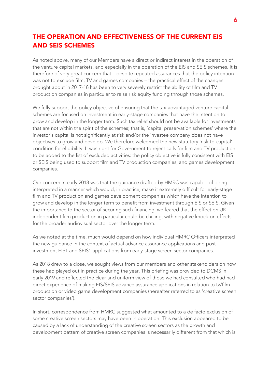#### THE OPERATION AND EFFECTIVENESS OF THE CURRENT EIS AND SEIS SCHEMES

As noted above, many of our Members have a direct or indirect interest in the operation of the venture capital markets, and especially in the operation of the EIS and SEIS schemes. It is therefore of very great concern that – despite repeated assurances that the policy intention was not to exclude film, TV and games companies – the practical effect of the changes brought about in 2017-18 has been to very severely restrict the ability of film and TV production companies in particular to raise risk equity funding through those schemes.

We fully support the policy objective of ensuring that the tax-advantaged venture capital schemes are focused on investment in early-stage companies that have the intention to grow and develop in the longer term. Such tax relief should not be available for investments that are not within the spirit of the schemes; that is, 'capital preservation schemes' where the investor's capital is not significantly at risk and/or the investee company does not have objectives to grow and develop. We therefore welcomed the new statutory 'risk-to-capital' condition for eligibility. It was right for Government to reject calls for film and TV production to be added to the list of excluded activities: the policy objective is fully consistent with EIS or SEIS being used to support film and TV production companies, and games development companies.

Our concern in early 2018 was that the guidance drafted by HMRC was capable of being interpreted in a manner which would, in practice, make it extremely difficult for early-stage film and TV production and games development companies which have the intention to grow and develop in the longer term to benefit from investment through EIS or SEIS. Given the importance to the sector of securing such financing, we feared that the effect on UK independent film production in particular could be chilling, with negative knock-on effects for the broader audiovisual sector over the longer term.

As we noted at the time, much would depend on how individual HMRC Officers interpreted the new guidance in the context of actual advance assurance applications and post investment EIS1 and SEIS1 applications from early-stage screen sector companies.

As 2018 drew to a close, we sought views from our members and other stakeholders on how these had played out in practice during the year. This briefing was provided to DCMS in early 2019 and reflected the clear and uniform view of those we had consulted who had had direct experience of making EIS/SEIS advance assurance applications in relation to tv/film production or video game development companies (hereafter referred to as 'creative screen sector companies').

In short, correspondence from HMRC suggested what amounted to a de facto exclusion of some creative screen sectors may have been in operation. This exclusion appeared to be caused by a lack of understanding of the creative screen sectors as the growth and development pattern of creative screen companies is necessarily different from that which is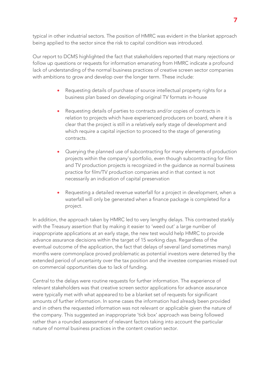typical in other industrial sectors. The position of HMRC was evident in the blanket approach being applied to the sector since the risk to capital condition was introduced.

Our report to DCMS highlighted the fact that stakeholders reported that many rejections or follow up questions or requests for information emanating from HMRC indicate a profound lack of understanding of the normal business practices of creative screen sector companies with ambitions to grow and develop over the longer term. These include:

- Requesting details of purchase of source intellectual property rights for a business plan based on developing original TV formats in-house
- Requesting details of parties to contracts and/or copies of contracts in relation to projects which have experienced producers on board, where it is clear that the project is still in a relatively early stage of development and which require a capital injection to proceed to the stage of generating contracts.
- Querying the planned use of subcontracting for many elements of production projects within the company's portfolio, even though subcontracting for film and TV production projects is recognized in the guidance as normal business practice for film/TV production companies and in that context is not necessarily an indication of capital preservation
- Requesting a detailed revenue waterfall for a project in development, when a waterfall will only be generated when a finance package is completed for a project.

In addition, the approach taken by HMRC led to very lengthy delays. This contrasted starkly with the Treasury assertion that by making it easier to 'weed out' a large number of inappropriate applications at an early stage, the new test would help HMRC to provide advance assurance decisions within the target of 15 working days. Regardless of the eventual outcome of the application, the fact that delays of several (and sometimes many) months were commonplace proved problematic as potential investors were deterred by the extended period of uncertainty over the tax position and the investee companies missed out on commercial opportunities due to lack of funding.

Central to the delays were routine requests for further information. The experience of relevant stakeholders was that creative screen sector applications for advance assurance were typically met with what appeared to be a blanket set of requests for significant amounts of further information. In some cases the information had already been provided and in others the requested information was not relevant or applicable given the nature of the company. This suggested an inappropriate 'tick box' approach was being followed rather than a rounded assessment of relevant factors taking into account the particular nature of normal business practices in the content creation sector.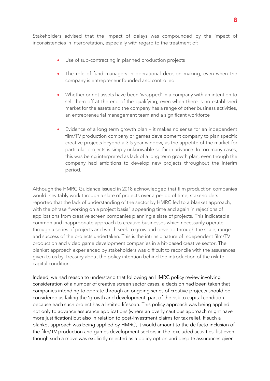Stakeholders advised that the impact of delays was compounded by the impact of inconsistencies in interpretation, especially with regard to the treatment of:

- Use of sub-contracting in planned production projects
- The role of fund managers in operational decision making, even when the company is entrepreneur founded and controlled
- Whether or not assets have been 'wrapped' in a company with an intention to sell them off at the end of the qualifying, even when there is no established market for the assets and the company has a range of other business activities, an entrepreneurial management team and a significant workforce
- Evidence of a long term growth plan it makes no sense for an independent film/TV production company or games development company to plan specific creative projects beyond a 3-5 year window, as the appetite of the market for particular projects is simply unknowable so far in advance. In too many cases, this was being interpreted as lack of a long term growth plan, even though the company had ambitions to develop new projects throughout the interim period.

Although the HMRC Guidance issued in 2018 acknowledged that film production companies would inevitably work through a slate of projects over a period of time, stakeholders reported that the lack of understanding of the sector by HMRC led to a blanket approach, with the phrase "working on a project basis" appearing time and again in rejections of applications from creative screen companies planning a slate of projects. This indicated a common and inappropriate approach to creative businesses which necessarily operate through a series of projects and which seek to grow and develop through the scale, range and success of the projects undertaken. This is the intrinsic nature of independent film/TV production and video game development companies in a hit-based creative sector. The blanket approach experienced by stakeholders was difficult to reconcile with the assurances given to us by Treasury about the policy intention behind the introduction of the risk to capital condition.

Indeed, we had reason to understand that following an HMRC policy review involving consideration of a number of creative screen sector cases, a decision had been taken that companies intending to operate through an ongoing series of creative projects should be considered as failing the 'growth and development' part of the risk to capital condition because each such project has a limited lifespan. This policy approach was being applied not only to advance assurance applications (where an overly cautious approach might have more justification) but also in relation to post-investment claims for tax relief. If such a blanket approach was being applied by HMRC, it would amount to the de facto inclusion of the film/TV production and games development sectors in the 'excluded activities' list even though such a move was explicitly rejected as a policy option and despite assurances given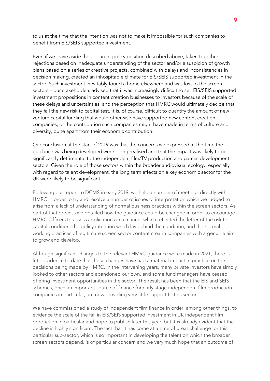to us at the time that the intention was not to make it impossible for such companies to benefit from EIS/SEIS supported investment.

Even if we leave aside the apparent policy position described above, taken together, rejections based on inadequate understanding of the sector and/or a suspicion of growth plans based on a series of creative projects, combined with delays and inconsistencies in decision making, created an inhospitable climate for EIS/SEIS supported investment in the sector. Such investment inevitably found a home elsewhere and was lost to the screen sectors – our stakeholders advised that it was increasingly difficult to sell EIS/SEIS supported investment propositions in content creation businesses to investors because of the scale of these delays and uncertainties, and the perception that HMRC would ultimately decide that they fail the new risk to capital test. It is, of course, difficult to quantify the amount of new venture capital funding that would otherwise have supported new content creation companies, or the contribution such companies might have made in terms of culture and diversity, quite apart from their economic contribution.

Our conclusion at the start of 2019 was that the concerns we expressed at the time the guidance was being developed were being realised and that the impact was likely to be significantly detrimental to the independent film/TV production and games development sectors. Given the role of those sectors within the broader audiovisual ecology, especially with regard to talent development, the long term effects on a key economic sector for the UK were likely to be significant.

Following our report to DCMS in early 2019, we held a number of meetings directly with HMRC in order to try and resolve a number of issues of interpretation which we judged to arise from a lack of understanding of normal business practices within the screen sectors. As part of that process we detailed how the guidance could be changed in order to encourage HMRC Officers to assess applications in a manner which reflected the letter of the risk to capital condition, the policy intention which lay behind the condition, and the normal working practices of legitimate screen sector content creatin companies with a genuine aim to grow and develop.

Although significant changes to the relevant HMRC guidance were made in 2021, there is little evidence to date that those changes have had a material impact in practice on the decisions being made by HMRC. In the intervening years, many private investors have simply looked to other sectors and abandoned our own, and some fund managers have ceased offering investment opportunities in the sector. The result has been that the EIS and SEIS schemes, once an important source of finance for early stage independent film production companies in particular, are now providing very little support to this sector.

We have commissioned a study of independent film finance in order, among other things, to evidence the scale of the fall in EIS/SEIS supported investment in UK independent film production in particular and hope to publish later this year, but it is already evident that the decline is highly significant. The fact that it has come at a time of great challenge for this particular sub-sector, which is so important in developing the talent on which the broader screen sectors depend, is of particular concern and we very much hope that an outcome of